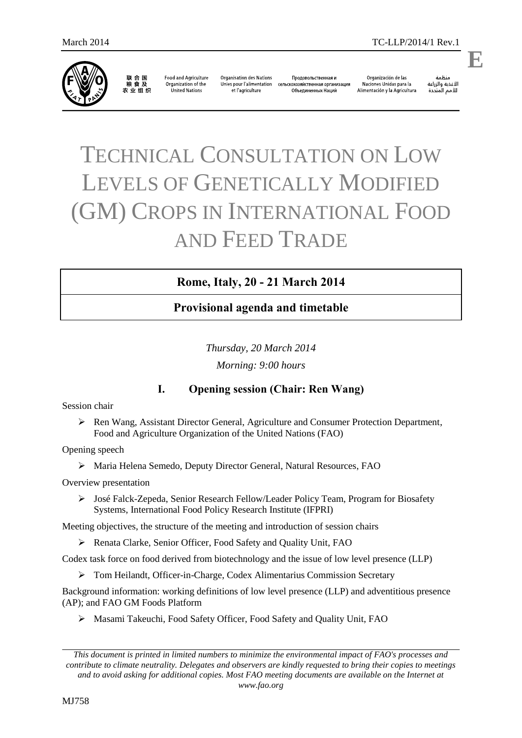

联合国<br>粮食及 农业组织

**Food and Agriculture** Organization of the United Nations

**Organisation des Nations** Unies pour l'alimentation et l'agriculture

Продовольственная и сельскохозяйственная организация Объединенных Наций

Organización de las Naciones Unidas para la Alimentación y la Agricultura

änhin الأغذية والزراعة للأمم المتحدة

.

**E**

# TECHNICAL CONSULTATION ON LOW LEVELS OF GENETICALLY MODIFIED (GM) CROPS IN INTERNATIONAL FOOD AND FEED TRADE

## **Rome, Italy, 20 - 21 March 2014**

## **Provisional agenda and timetable**

*Thursday, 20 March 2014 Morning: 9:00 hours*

## **I. Opening session (Chair: Ren Wang)**

Session chair

 Ren Wang, Assistant Director General, Agriculture and Consumer Protection Department, Food and Agriculture Organization of the United Nations (FAO)

Opening speech

Maria Helena Semedo, Deputy Director General, Natural Resources, FAO

Overview presentation

 José Falck-Zepeda, Senior Research Fellow/Leader Policy Team, Program for Biosafety Systems, International Food Policy Research Institute (IFPRI)

Meeting objectives, the structure of the meeting and introduction of session chairs

Renata Clarke, Senior Officer, Food Safety and Quality Unit, FAO

Codex task force on food derived from biotechnology and the issue of low level presence (LLP)

Tom Heilandt, Officer-in-Charge, Codex Alimentarius Commission Secretary

Background information: working definitions of low level presence (LLP) and adventitious presence (AP); and FAO GM Foods Platform

Masami Takeuchi, Food Safety Officer, Food Safety and Quality Unit, FAO

*This document is printed in limited numbers to minimize the environmental impact of FAO's processes and contribute to climate neutrality. Delegates and observers are kindly requested to bring their copies to meetings and to avoid asking for additional copies. Most FAO meeting documents are available on the Internet at www.fao.org*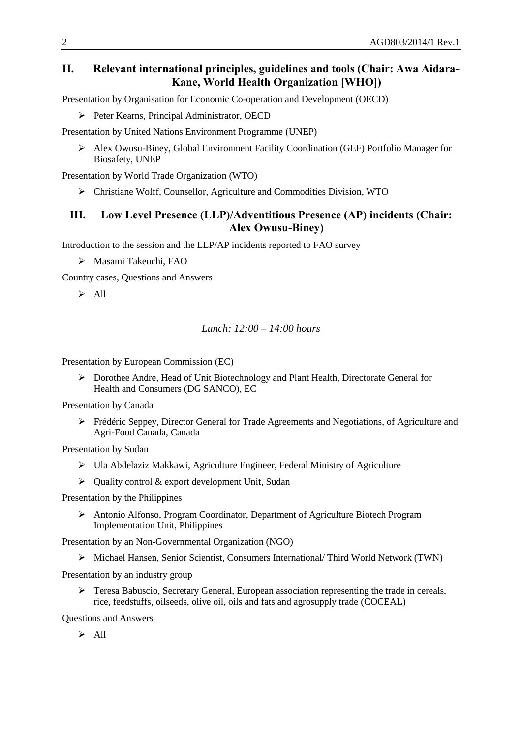## **II. Relevant international principles, guidelines and tools (Chair: Awa Aidara-Kane, World Health Organization [WHO])**

Presentation by Organisation for Economic Co-operation and Development (OECD)

Peter Kearns, Principal Administrator, OECD

Presentation by United Nations Environment Programme (UNEP)

 Alex Owusu-Biney, Global Environment Facility Coordination (GEF) Portfolio Manager for Biosafety, UNEP

Presentation by World Trade Organization (WTO)

Christiane Wolff, Counsellor, Agriculture and Commodities Division, WTO

## **III. Low Level Presence (LLP)/Adventitious Presence (AP) incidents (Chair: Alex Owusu-Biney)**

Introduction to the session and the LLP/AP incidents reported to FAO survey

Masami Takeuchi, FAO

Country cases, Questions and Answers

 $\triangleright$  All

#### *Lunch: 12:00 – 14:00 hours*

Presentation by European Commission (EC)

 Dorothee Andre, Head of Unit Biotechnology and Plant Health, Directorate General for Health and Consumers (DG SANCO), EC

Presentation by Canada

 Frédéric Seppey, Director General for Trade Agreements and Negotiations, of Agriculture and Agri-Food Canada, Canada

Presentation by Sudan

- Ula Abdelaziz Makkawi, Agriculture Engineer, Federal Ministry of Agriculture
- $\triangleright$  Quality control & export development Unit, Sudan

Presentation by the Philippines

 Antonio Alfonso, Program Coordinator, Department of Agriculture Biotech Program Implementation Unit, Philippines

Presentation by an Non-Governmental Organization (NGO)

Michael Hansen, Senior Scientist, Consumers International/ Third World Network (TWN)

Presentation by an industry group

 Teresa Babuscio, Secretary General, European association representing the trade in cereals, rice, feedstuffs, oilseeds, olive oil, oils and fats and agrosupply trade (COCEAL)

Questions and Answers

 $\triangleright$  All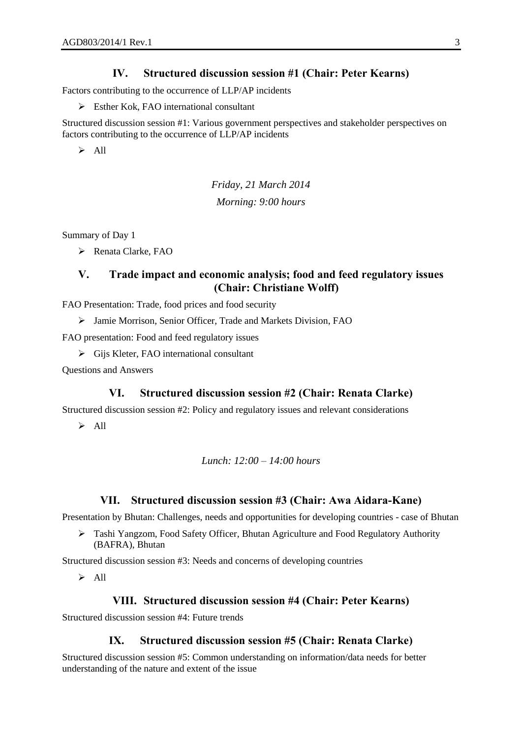### **IV. Structured discussion session #1 (Chair: Peter Kearns)**

Factors contributing to the occurrence of LLP/AP incidents

 $\triangleright$  Esther Kok, FAO international consultant

Structured discussion session #1: Various government perspectives and stakeholder perspectives on factors contributing to the occurrence of LLP/AP incidents

 $\triangleright$  All

*Friday, 21 March 2014 Morning: 9:00 hours*

Summary of Day 1

 $\triangleright$  Renata Clarke, FAO

## **V. Trade impact and economic analysis; food and feed regulatory issues (Chair: Christiane Wolff)**

FAO Presentation: Trade, food prices and food security

Jamie Morrison, Senior Officer, Trade and Markets Division, FAO

FAO presentation: Food and feed regulatory issues

 $\triangleright$  Gijs Kleter, FAO international consultant

Questions and Answers

#### **VI. Structured discussion session #2 (Chair: Renata Clarke)**

Structured discussion session #2: Policy and regulatory issues and relevant considerations

 $\triangleright$  All

#### *Lunch: 12:00 – 14:00 hours*

#### **VII. Structured discussion session #3 (Chair: Awa Aidara-Kane)**

Presentation by Bhutan: Challenges, needs and opportunities for developing countries - case of Bhutan

 Tashi Yangzom, Food Safety Officer, Bhutan Agriculture and Food Regulatory Authority (BAFRA), Bhutan

Structured discussion session #3: Needs and concerns of developing countries

 $\triangleright$  All

#### **VIII. Structured discussion session #4 (Chair: Peter Kearns)**

Structured discussion session #4: Future trends

### **IX. Structured discussion session #5 (Chair: Renata Clarke)**

Structured discussion session #5: Common understanding on information/data needs for better understanding of the nature and extent of the issue